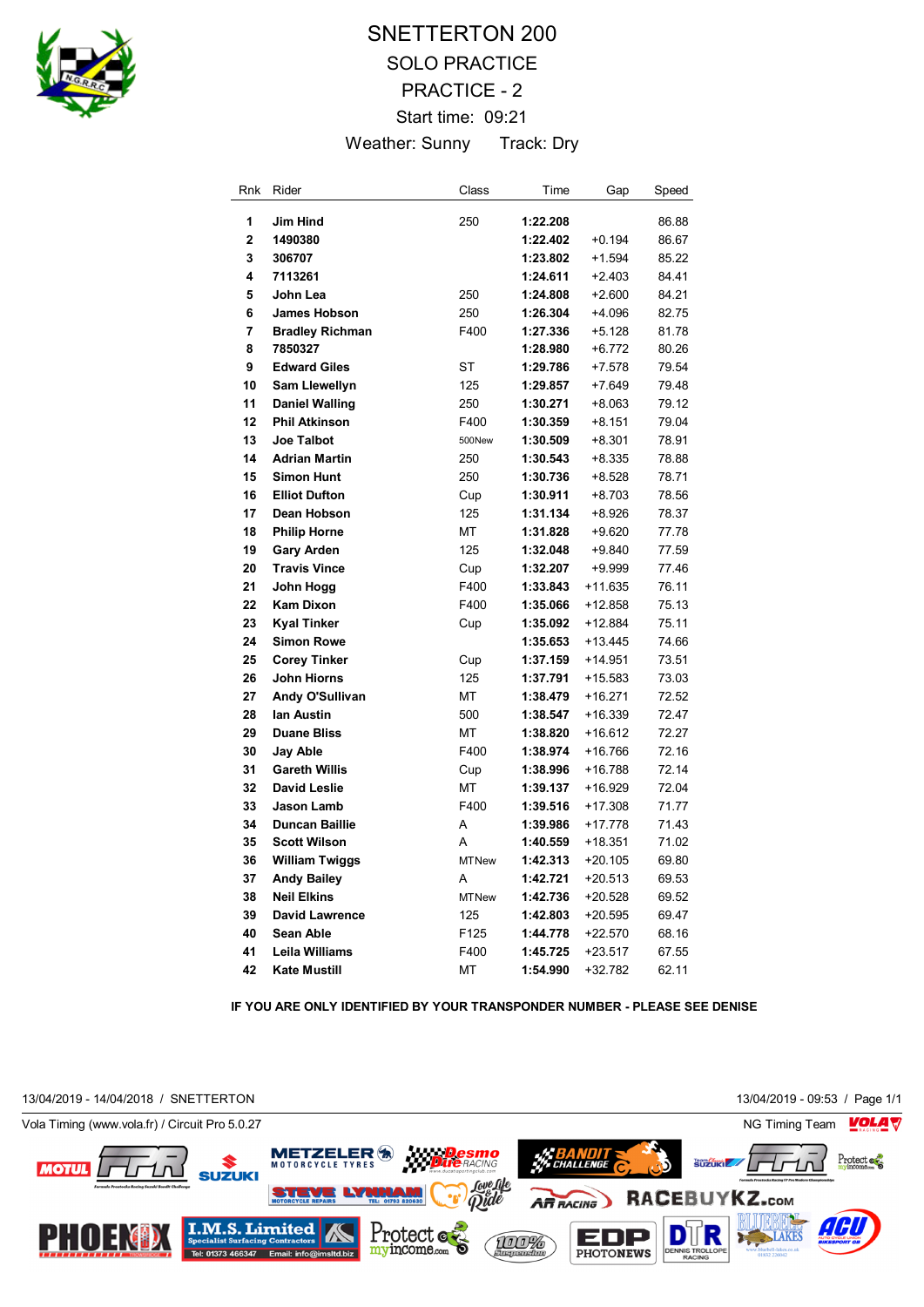

## SNETTERTON 200 SOLO PRACTICE PRACTICE - 2 Start time: 09:21 Weather: Sunny Track: Dry

| Rnk | Rider                  | Class        | Time     | Gap       | Speed |
|-----|------------------------|--------------|----------|-----------|-------|
| 1   | <b>Jim Hind</b>        | 250          | 1:22.208 |           | 86.88 |
| 2   | 1490380                |              | 1:22.402 | $+0.194$  | 86.67 |
| 3   | 306707                 |              | 1:23.802 | $+1.594$  | 85.22 |
| 4   | 7113261                |              | 1:24.611 | $+2.403$  | 84.41 |
| 5   | John Lea               | 250          | 1:24.808 | $+2.600$  | 84.21 |
| 6   | <b>James Hobson</b>    | 250          | 1:26.304 | $+4.096$  | 82.75 |
| 7   | <b>Bradley Richman</b> | F400         | 1:27.336 | $+5.128$  | 81.78 |
| 8   | 7850327                |              | 1:28.980 | $+6.772$  | 80.26 |
| 9   | <b>Edward Giles</b>    | <b>ST</b>    | 1:29.786 | $+7.578$  | 79.54 |
| 10  | <b>Sam Llewellyn</b>   | 125          | 1:29.857 | $+7.649$  | 79.48 |
| 11  | <b>Daniel Walling</b>  | 250          | 1:30.271 | $+8.063$  | 79.12 |
| 12  | <b>Phil Atkinson</b>   | F400         | 1:30.359 | $+8.151$  | 79.04 |
| 13  | <b>Joe Talbot</b>      | 500New       | 1:30.509 | $+8.301$  | 78.91 |
| 14  | <b>Adrian Martin</b>   | 250          | 1:30.543 | $+8.335$  | 78.88 |
| 15  | <b>Simon Hunt</b>      | 250          | 1:30.736 | $+8.528$  | 78.71 |
| 16  | <b>Elliot Dufton</b>   | Cup          | 1:30.911 | $+8.703$  | 78.56 |
| 17  | Dean Hobson            | 125          | 1:31.134 | $+8.926$  | 78.37 |
| 18  | <b>Philip Horne</b>    | МT           | 1:31.828 | $+9.620$  | 77.78 |
| 19  | <b>Gary Arden</b>      | 125          | 1:32.048 | $+9.840$  | 77.59 |
| 20  | <b>Travis Vince</b>    | Cup          | 1:32.207 | $+9.999$  | 77.46 |
| 21  | John Hogg              | F400         | 1:33.843 | $+11.635$ | 76.11 |
| 22  | <b>Kam Dixon</b>       | F400         | 1:35.066 | +12.858   | 75.13 |
| 23  | <b>Kyal Tinker</b>     | Cup          | 1:35.092 | $+12.884$ | 75.11 |
| 24  | <b>Simon Rowe</b>      |              | 1:35.653 | $+13.445$ | 74.66 |
| 25  | <b>Corey Tinker</b>    | Cup          | 1:37.159 | $+14.951$ | 73.51 |
| 26  | John Hiorns            | 125          | 1:37.791 | $+15.583$ | 73.03 |
| 27  | Andy O'Sullivan        | <b>MT</b>    | 1:38.479 | $+16.271$ | 72.52 |
| 28  | lan Austin             | 500          | 1:38.547 | $+16.339$ | 72.47 |
| 29  | <b>Duane Bliss</b>     | MT           | 1:38.820 | $+16.612$ | 72.27 |
| 30  | Jay Able               | F400         | 1:38.974 | $+16.766$ | 72.16 |
| 31  | <b>Gareth Willis</b>   | Cup          | 1:38.996 | $+16.788$ | 72.14 |
| 32  | <b>David Leslie</b>    | MT           | 1:39.137 | $+16.929$ | 72.04 |
| 33  | <b>Jason Lamb</b>      | F400         | 1:39.516 | $+17.308$ | 71.77 |
| 34  | <b>Duncan Baillie</b>  | A            | 1:39.986 | $+17.778$ | 71.43 |
| 35  | <b>Scott Wilson</b>    | A            | 1:40.559 | +18.351   | 71.02 |
| 36  | <b>William Twiggs</b>  | <b>MTNew</b> | 1:42.313 | $+20.105$ | 69.80 |
| 37  | <b>Andy Bailey</b>     | A            | 1:42.721 | $+20.513$ | 69.53 |
| 38  | <b>Neil Elkins</b>     | <b>MTNew</b> | 1:42.736 | $+20.528$ | 69.52 |
| 39  | <b>David Lawrence</b>  | 125          | 1:42.803 | $+20.595$ | 69.47 |
| 40  | Sean Able              | F125         | 1:44.778 | $+22.570$ | 68.16 |
| 41  | <b>Leila Williams</b>  | F400         | 1:45.725 | $+23.517$ | 67.55 |
| 42  | <b>Kate Mustill</b>    | MT           | 1:54.990 | $+32.782$ | 62.11 |

**IF YOU ARE ONLY IDENTIFIED BY YOUR TRANSPONDER NUMBER - PLEASE SEE DENISE**

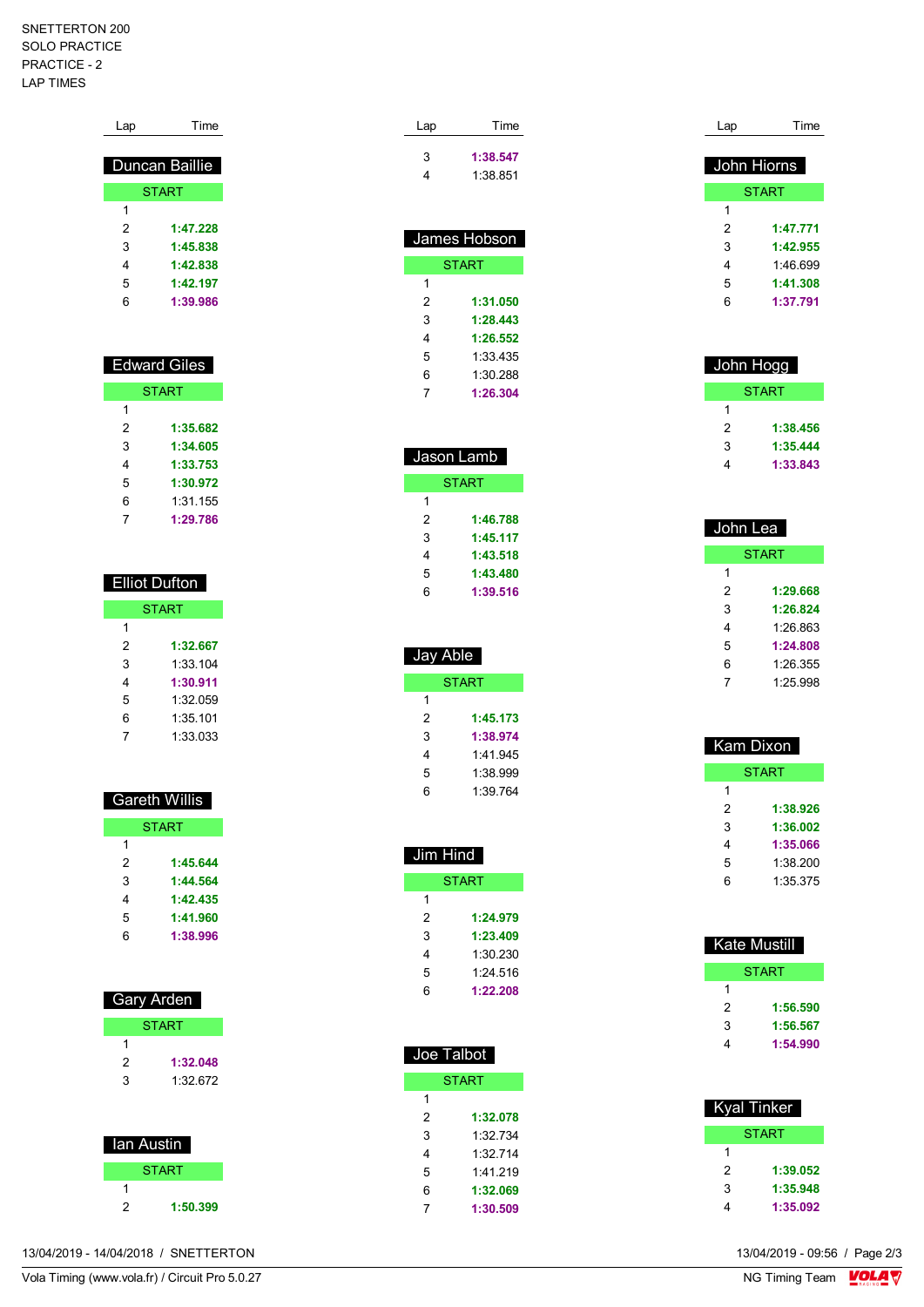## SNETTERTON 200 SOLO PRACTICE PRACTICE - 2 LAP TIMES

| Lap | Time                |
|-----|---------------------|
|     |                     |
|     | Duncan Baillie      |
|     | <b>START</b>        |
| 1   |                     |
| 2   | 1:47.228            |
| 3   | 1:45.838            |
| 4   | 1:42.838            |
| 5   | 1:42.197            |
| 6   | 1:39.986            |
|     |                     |
|     |                     |
|     | <b>Edward Giles</b> |
|     |                     |
|     | <b>START</b>        |
| 1   |                     |
| 2   | 1:35.682            |
| ٩   | 1·34 605            |

| 3 | 1:34.605 |
|---|----------|
| 4 | 1:33.753 |
| 5 | 1:30.972 |
| 6 | 1:31.155 |
|   | 1:29.786 |

| Elliot Dufton |          |  |  |
|---------------|----------|--|--|
| <b>START</b>  |          |  |  |
| 1             |          |  |  |
| 2             | 1:32.667 |  |  |
| 3             | 1:33.104 |  |  |
| 4             | 1:30.911 |  |  |
| 5             | 1:32.059 |  |  |
| 6             | 1:35.101 |  |  |
|               | 1:33.033 |  |  |

| Gareth Willis |          |  |  |
|---------------|----------|--|--|
| <b>START</b>  |          |  |  |
| 1             |          |  |  |
| 2             | 1:45.644 |  |  |
| 3             | 1:44.564 |  |  |
| 4             | 1:42.435 |  |  |
| 5             | 1:41.960 |  |  |
| 6             | 1:38.996 |  |  |
|               |          |  |  |

| Gary Arden |              |  |  |
|------------|--------------|--|--|
|            | <b>START</b> |  |  |
| 1          |              |  |  |
| 2          | 1:32.048     |  |  |
| 3          | 1:32.672     |  |  |
|            |              |  |  |
|            |              |  |  |
| lan Austin |              |  |  |

| lan Austin   |  |
|--------------|--|
| <b>START</b> |  |
|              |  |
| 1:50.399     |  |

| Lap | Time     |
|-----|----------|
| 3   | 1:38.547 |
| 4   | 1:38.851 |

| James Hobson |          |  |  |
|--------------|----------|--|--|
| <b>START</b> |          |  |  |
| 1            |          |  |  |
| 2            | 1:31.050 |  |  |
| 3            | 1:28.443 |  |  |
| 4            | 1:26.552 |  |  |
| 5            | 1:33 435 |  |  |
| 6            | 1:30.288 |  |  |
|              | 1:26.304 |  |  |

| Jason Lamb   |          |  |
|--------------|----------|--|
| <b>START</b> |          |  |
| 1            |          |  |
| 2            | 1:46.788 |  |
| 3            | 1:45.117 |  |
| 4            | 1:43.518 |  |
| 5            | 1:43.480 |  |
| 6            | 1:39.516 |  |
|              |          |  |

| Jay Able |          |  |
|----------|----------|--|
|          | START    |  |
| 1        |          |  |
| 2        | 1:45.173 |  |
| 3        | 1:38.974 |  |
| 4        | 1.41.945 |  |
| 5        | 1:38.999 |  |
| 6        | 1:39.764 |  |

| Jim Hind |          |  |  |
|----------|----------|--|--|
| START    |          |  |  |
| 1        |          |  |  |
| 2        | 1:24.979 |  |  |
| 3        | 1:23.409 |  |  |
| 4        | 1:30.230 |  |  |
| 5        | 1.24 516 |  |  |
| 6        | 1:22.208 |  |  |
|          |          |  |  |

| Joe Talbot   |          |  |
|--------------|----------|--|
| <b>START</b> |          |  |
| 1            |          |  |
| 2            | 1:32.078 |  |
| 3            | 1:32734  |  |
| 4            | 1:32714  |  |
| 5            | 1.41219  |  |
| 6            | 1:32.069 |  |
| 7            | 1:30.509 |  |

| Lap | Time         |
|-----|--------------|
|     | John Hiorns  |
|     |              |
|     | <b>START</b> |
| 1   |              |
| 2   | 1:47.771     |
| 3   | 1:42.955     |
| 4   | 1:46 699     |
| 5   | 1:41.308     |
| 6   | 1:37.791     |
|     |              |

| John Hogg |          |
|-----------|----------|
|           | START    |
|           |          |
| 2         | 1:38,456 |
| 3         | 1:35.444 |
|           | 1:33.843 |

| John Lea     |  |
|--------------|--|
| <b>START</b> |  |
|              |  |
| 1:29.668     |  |
| 1:26.824     |  |
| 1:26.863     |  |
| 1:24.808     |  |
| 1:26.355     |  |
| 1.2598       |  |
|              |  |

| Kam Dixon |              |
|-----------|--------------|
|           | <b>START</b> |
| 1         |              |
| 2         | 1:38.926     |
| 3         | 1:36.002     |
| 4         | 1:35.066     |
| 5         | 1:38,200     |
| 6         | 1:35.375     |
|           |              |

| Kate Mustill |          |
|--------------|----------|
| START        |          |
| 1            |          |
| 2            | 1:56.590 |
| 3            | 1:56.567 |
| 4            | 1:54.990 |

| <b>Kyal Tinker</b> |          |
|--------------------|----------|
| <b>START</b>       |          |
| 1                  |          |
| 2                  | 1:39.052 |
| 3                  | 1:35.948 |
| 4                  | 1:35.092 |

13/04/2019 - 14/04/2018 / SNETTERTON